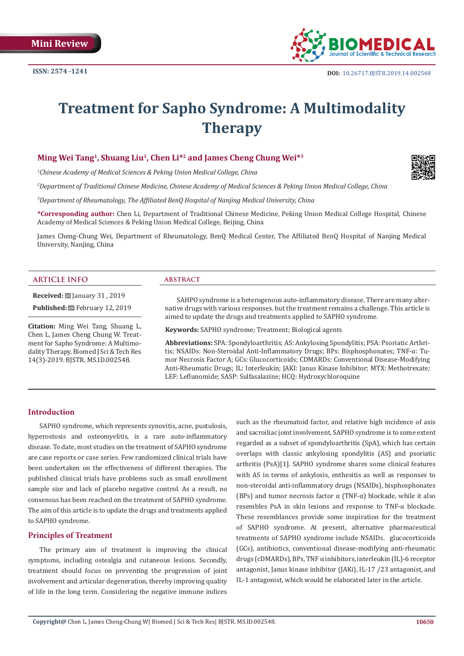

# **Treatment for Sapho Syndrome: A Multimodality Therapy**

# **Ming Wei Tang1, Shuang Liu1, Chen Li\*2 and James Cheng Chung Wei\*3**

*1 Chinese Academy of Medical Sciences & Peking Union Medical College, China*

*2 Department of Traditional Chinese Medicine, Chinese Academy of Medical Sciences & Peking Union Medical College, China*

*3 Department of Rheumatology, The Affiliated BenQ Hospital of Nanjing Medical University, China*

**\*Corresponding author:** Chen Li, Department of Traditional Chinese Medicine, Peking Union Medical College Hospital, Chinese Academy of Medical Sciences & Peking Union Medical College, Beijing, China

James Cheng-Chung Wei, Department of Rheumatology, BenQ Medical Center, The Affiliated BenQ Hospital of Nanjing Medical University, Nanjing, China

#### **ARTICLE INFO abstract**

**Received:** <u>□</u> January 31, 2019 Published: **■**February 12, 2019

**Citation:** Ming Wei Tang, Shuang L, Chen L, James Cheng Chung W. Treatment for Sapho Syndrome: A Multimodality Therapy. Biomed J Sci & Tech Res 14(3)-2019. BJSTR. MS.ID.002548.

SAHPO syndrome is a heterogenous auto-inflammatory disease. There are many alternative drugs with various responses. but the treatment remains a challenge. This article is aimed to update the drugs and treatments applied to SAPHO syndrome.

**Keywords:** SAPHO syndrome; Treatment; Biological agents

**Abbreviations:** SPA: Spondyloarthritis; AS: Ankylosing Spondylitis; PSA: Psoriatic Arthritis; NSAIDs: Non-Steroidal Anti-Inflammatory Drugs; BPs: Bisphosphonates; TNF-α: Tumor Necrosis Factor Α; GCs: Glucocorticoids; CDMARDs: Conventional Disease-Modifying Anti-Rheumatic Drugs; IL: Interleukin; JAKI: Janus Kinase Inhibitor; MTX: Methotrexate; LEF: Leflunomide; SASP: Sulfasalazine; HCQ: Hydroxychloroquine

#### **Introduction**

SAPHO syndrome, which represents synovitis, acne, pustulosis, hyperostosis and osteomyelitis, is a rare auto-inflammatory disease. To date, most studies on the treatment of SAPHO syndrome are case reports or case series. Few randomized clinical trials have been undertaken on the effectiveness of different therapies. The published clinical trials have problems such as small enrollment sample size and lack of placebo negative control. As a result, no consensus has been reached on the treatment of SAPHO syndrome. The aim of this article is to update the drugs and treatments applied to SAPHO syndrome.

#### **Principles of Treatment**

The primary aim of treatment is improving the clinical symptoms, including ostealgia and cutaneous lesions. Secondly, treatment should focus on preventing the progression of joint involvement and articular degeneration, thereby improving quality of life in the long term. Considering the negative immune indices

such as the rheumatoid factor, and relative high incidence of axis and sacroiliac joint involvement, SAPHO syndrome is to some extent regarded as a subset of spondyloarthritis (SpA), which has certain overlaps with classic ankylosing spondylitis (AS) and psoriatic arthritis (PsA)[1]. SAPHO syndrome shares some clinical features with AS in terms of ankylosis, enthesitis as well as responses to non-steroidal anti-inflammatory drugs (NSAIDs), bisphosphonates (BPs) and tumor necrosis factor  $\alpha$  (TNF- $\alpha$ ) blockade, while it also resembles PsA in skin lesions and response to TNF-α blockade. These resemblances provide some inspiration for the treatment of SAPHO syndrome. At present, alternative pharmaceutical treatments of SAPHO syndrome include NSAIDs, glucocorticoids (GCs), antibiotics, conventional disease-modifying anti-rheumatic drugs (cDMARDs), BPs, TNF α inhibitors, interleukin (IL)-6 receptor antagonist, Janus kinase inhibitor (JAKi), IL-17 /23 antagonist, and IL-1 antagonist, which would be elaborated later in the article.

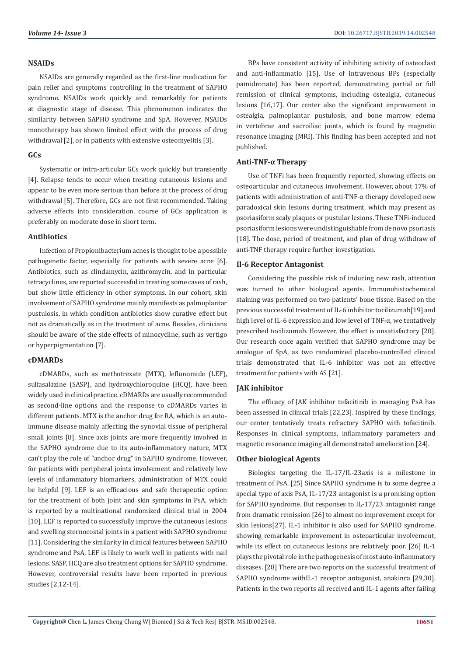### **NSAIDs**

NSAIDs are generally regarded as the first-line medication for pain relief and symptoms controlling in the treatment of SAPHO syndrome. NSAIDs work quickly and remarkably for patients at diagnostic stage of disease. This phenomenon indicates the similarity between SAPHO syndrome and SpA. However, NSAIDs monotherapy has shown limited effect with the process of drug withdrawal [2], or in patients with extensive osteomyelitis [3].

# **GCs**

Systematic or intra-articular GCs work quickly but transiently [4]. Relapse tends to occur when treating cutaneous lesions and appear to be even more serious than before at the process of drug withdrawal [5]. Therefore, GCs are not first recommended. Taking adverse effects into consideration, course of GCs application is preferably on moderate dose in short term.

## **Antibiotics**

Infection of Propionibacterium acnes is thought to be a possible pathogenetic factor, especially for patients with severe acne [6]. Antibiotics, such as clindamycin, azithromycin, and in particular tetracyclines, are reported successful in treating some cases of rash, but show little efficiency in other symptoms. In our cohort, skin involvement of SAPHO syndrome mainly manifests as palmoplantar pustulosis, in which condition antibiotics show curative effect but not as dramatically as in the treatment of acne. Besides, clinicians should be aware of the side effects of minocycline, such as vertigo or hyperpigmentation [7].

# **cDMARDs**

cDMARDs, such as methotrexate (MTX), leflunomide (LEF), sulfasalazine (SASP), and hydroxychloroquine (HCQ), have been widely used in clinical practice. cDMARDs are usually recommended as second-line options and the response to cDMARDs varies in different patients. MTX is the anchor drug for RA, which is an autoimmune disease mainly affecting the synovial tissue of peripheral small joints [8]. Since axis joints are more frequently involved in the SAPHO syndrome due to its auto-inflammatory nature, MTX can't play the role of "anchor drug" in SAPHO syndrome. However, for patients with peripheral joints involvement and relatively low levels of inflammatory biomarkers, administration of MTX could be helpful [9]. LEF is an efficacious and safe therapeutic option for the treatment of both joint and skin symptoms in PsA, which is reported by a multinational randomized clinical trial in 2004 [10]. LEF is reported to successfully improve the cutaneous lesions and swelling sternocostal joints in a patient with SAPHO syndrome [11]. Considering the similarity in clinical features between SAPHO syndrome and PsA, LEF is likely to work well in patients with nail lesions. SASP, HCQ are also treatment options for SAPHO syndrome. However, controversial results have been reported in previous studies [2,12-14].

BPs have consistent activity of inhibiting activity of osteoclast and anti-inflammatio [15]. Use of intravenous BPs (especially pamidronate) has been reported, demonstrating partial or full remission of clinical symptoms, including ostealgia, cutaneous lesions [16,17]. Our center also the significant improvement in ostealgia, palmoplantar pustulosis, and bone marrow edema in vertebrae and sacroiliac joints, which is found by magnetic resonance imaging (MRI). This finding has been accepted and not published.

# **Anti-TNF-α Therapy**

Use of TNFi has been frequently reported, showing effects on osteoarticular and cutaneous involvement. However, about 17% of patients with administration of anti-TNF-α therapy developed new paradoxical skin lesions during treatment, which may present as psoriasiform scaly plaques or pustular lesions. These TNFi-induced psoriasiform lesions were undistinguishable from de novo psoriasis [18]. The dose, period of treatment, and plan of drug withdraw of anti-TNF therapy require further investigation.

# **Il-6 Receptor Antagonist**

Considering the possible risk of inducing new rash, attention was turned to other biological agents. Immunohistochemical staining was performed on two patients' bone tissue. Based on the previous successful treatment of IL-6 inhibitor tocilizumab[19] and high level of IL-6 expression and low level of TNF-α, we tentatively prescribed tocilizumab. However, the effect is unsatisfactory [20]. Our research once again verified that SAPHO syndrome may be analogue of SpA, as two randomized placebo-controlled clinical trials demonstrated that IL-6 inhibitor was not an effective treatment for patients with AS [21].

# **JAK inhibitor**

The efficacy of JAK inhibitor tofacitinib in managing PsA has been assessed in clinical trials [22,23]. Inspired by these findings, our center tentatively treats refractory SAPHO with tofacitinib. Responses in clinical symptoms, inflammatory parameters and magnetic resonance imaging all demonstrated amelioration [24].

# **Other biological Agents**

Biologics targeting the IL-17/IL-23axis is a milestone in treatment of PsA. [25] Since SAPHO syndrome is to some degree a special type of axis PsA, IL-17/23 antagonist is a promising option for SAPHO syndrome. But responses to IL-17/23 antagonist range from dramatic remission [26] to almost no improvement except for skin lesions[27]. IL-1 inhibitor is also used for SAPHO syndrome, showing remarkable improvement in osteoarticular involvement, while its effect on cutaneous lesions are relatively poor. [26] IL-1 plays the pivotal role in the pathogenesis of most auto-inflammatory diseases. [28] There are two reports on the successful treatment of SAPHO syndrome withIL-1 receptor antagonist, anakinra [29,30]. Patients in the two reports all received anti IL-1 agents after failing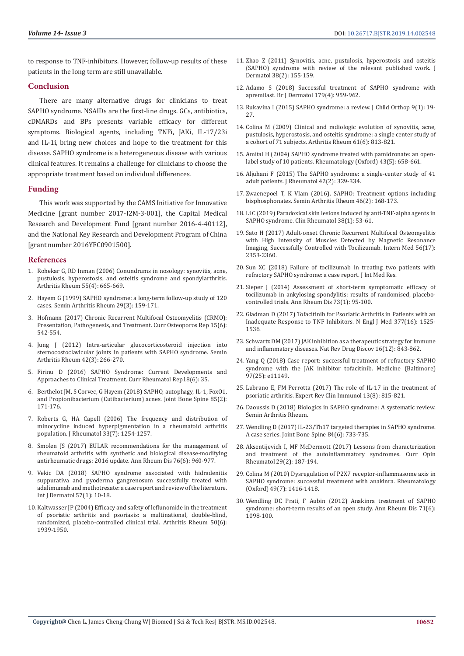to response to TNF-inhibitors. However, follow-up results of these patients in the long term are still unavailable.

#### **Conclusion**

There are many alternative drugs for clinicians to treat SAPHO syndrome. NSAIDs are the first-line drugs. GCs, antibiotics, cDMARDs and BPs presents variable efficacy for different symptoms. Biological agents, including TNFi, JAKi, IL-17/23i and IL-1i, bring new choices and hope to the treatment for this disease. SAPHO syndrome is a heterogeneous disease with various clinical features. It remains a challenge for clinicians to choose the appropriate treatment based on individual differences.

#### **Funding**

This work was supported by the CAMS Initiative for Innovative Medicine [grant number 2017-I2M-3-001], the Capital Medical Research and Development Fund [grant number 2016-4-40112], and the National Key Research and Development Program of China [grant number 2016YFC0901500].

#### **References**

- 1. [Rohekar G, RD Inman \(2006\) Conundrums in nosology: synovitis, acne,](https://www.ncbi.nlm.nih.gov/pubmed/16874770)  [pustulosis, hyperostosis, and osteitis syndrome and spondylarthritis.](https://www.ncbi.nlm.nih.gov/pubmed/16874770)  [Arthritis Rheum 55\(4\): 665-669.](https://www.ncbi.nlm.nih.gov/pubmed/16874770)
- 2. Hayem G (1999) SAPHO syndrome: a long-term follow-up study of 120 cases. Semin Arthritis Rheum 29(3): 159-171.
- 3. Hofmann (2017) Chronic Recurrent Multifocal Osteomyelitis (CRMO): Presentation, Pathogenesis, and Treatment. Curr Osteoporos Rep 15(6): 542-554.
- 4. Jung J (2012) Intra-articular glucocorticosteroid injection into sternocostoclavicular joints in patients with SAPHO syndrome. Semin Arthritis Rheum 42(3): 266-270.
- 5. Firinu D (2016) SAPHO Syndrome: Current Developments and Approaches to Clinical Treatment. Curr Rheumatol Rep18(6): 35.
- 6. Berthelot JM, S Corvec, G Hayem (2018) SAPHO, autophagy, IL-1, FoxO1, and Propionibacterium (Cutibacterium) acnes. Joint Bone Spine 85(2): 171-176.
- 7. Roberts G, HA Capell (2006) The frequency and distribution of minocycline induced hyperpigmentation in a rheumatoid arthritis population. J Rheumatol 33(7): 1254-1257.
- 8. Smolen JS (2017) EULAR recommendations for the management of rheumatoid arthritis with synthetic and biological disease-modifying antirheumatic drugs: 2016 update. Ann Rheum Dis 76(6): 960-977.
- 9. Vekic DA (2018) SAPHO syndrome associated with hidradenitis suppurativa and pyoderma gangrenosum successfully treated with adalimumab and methotrexate: a case report and review of the literature. Int J Dermatol 57(1): 10-18.
- 10. Kaltwasser JP (2004) Efficacy and safety of leflunomide in the treatment of psoriatic arthritis and psoriasis: a multinational, double-blind, randomized, placebo-controlled clinical trial. Arthritis Rheum 50(6): 1939-1950.
- 11. Zhao Z (2011) Synovitis, acne, pustulosis, hyperostosis and osteitis (SAPHO) syndrome with review of the relevant published work. J Dermatol 38(2): 155-159.
- 12. Adamo S (2018) Successful treatment of SAPHO syndrome with apremilast. Br J Dermatol 179(4): 959-962.
- 13. Rukavina I (2015) SAPHO syndrome: a review. J Child Orthop 9(1): 19- 27.
- 14. Colina M (2009) Clinical and radiologic evolution of synovitis, acne, pustulosis, hyperostosis, and osteitis syndrome: a single center study of a cohort of 71 subjects. Arthritis Rheum 61(6): 813-821.
- 15. Amital H (2004) SAPHO syndrome treated with pamidronate: an openlabel study of 10 patients. Rheumatology (Oxford) 43(5): 658-661.
- 16. Aljuhani F (2015) The SAPHO syndrome: a single-center study of 41 adult patients. J Rheumatol 42(2): 329-334.
- 17. Zwaenepoel T, K Vlam (2016). SAPHO: Treatment options including bisphosphonates. Semin Arthritis Rheum 46(2): 168-173.
- 18. Li C (2019) Paradoxical skin lesions induced by anti-TNF-alpha agents in SAPHO syndrome. Clin Rheumatol 38(1): 53-61.
- 19. Sato H (2017) Adult-onset Chronic Recurrent Multifocal Osteomyelitis with High Intensity of Muscles Detected by Magnetic Resonance Imaging, Successfully Controlled with Tocilizumab. Intern Med 56(17): 2353-2360.
- 20. Sun XC (2018) Failure of tocilizumab in treating two patients with refractory SAPHO syndrome: a case report. J Int Med Res.
- 21. Sieper J (2014) Assessment of short-term symptomatic efficacy of tocilizumab in ankylosing spondylitis: results of randomised, placebocontrolled trials. Ann Rheum Dis 73(1): 95-100.
- 22. Gladman D (2017) Tofacitinib for Psoriatic Arthritis in Patients with an Inadequate Response to TNF Inhibitors. N Engl J Med 377(16): 1525- 1536.
- 23. Schwartz DM (2017) JAK inhibition as a therapeutic strategy for immune and inflammatory diseases. Nat Rev Drug Discov 16(12): 843-862.
- 24. Yang Q (2018) Case report: successful treatment of refractory SAPHO syndrome with the JAK inhibitor tofacitinib. Medicine (Baltimore) 97(25): e11149.
- 25. Lubrano E, FM Perrotta (2017) The role of IL-17 in the treatment of psoriatic arthritis. Expert Rev Clin Immunol 13(8): 815-821.
- 26. Daoussis D (2018) Biologics in SAPHO syndrome: A systematic review. Semin Arthritis Rheum.
- 27. Wendling D (2017) IL-23/Th17 targeted therapies in SAPHO syndrome. A case series. Joint Bone Spine 84(6): 733-735.
- 28. Aksentijevich I, MF McDermott (2017) Lessons from characterization and treatment of the autoinflammatory syndromes. Curr Opin Rheumatol 29(2): 187-194.
- 29. Colina M (2010) Dysregulation of P2X7 receptor-inflammasome axis in SAPHO syndrome: successful treatment with anakinra. Rheumatology (Oxford) 49(7): 1416-1418.
- 30. Wendling DC Prati, F Aubin (2012) Anakinra treatment of SAPHO syndrome: short-term results of an open study. Ann Rheum Dis 71(6): 1098-100.